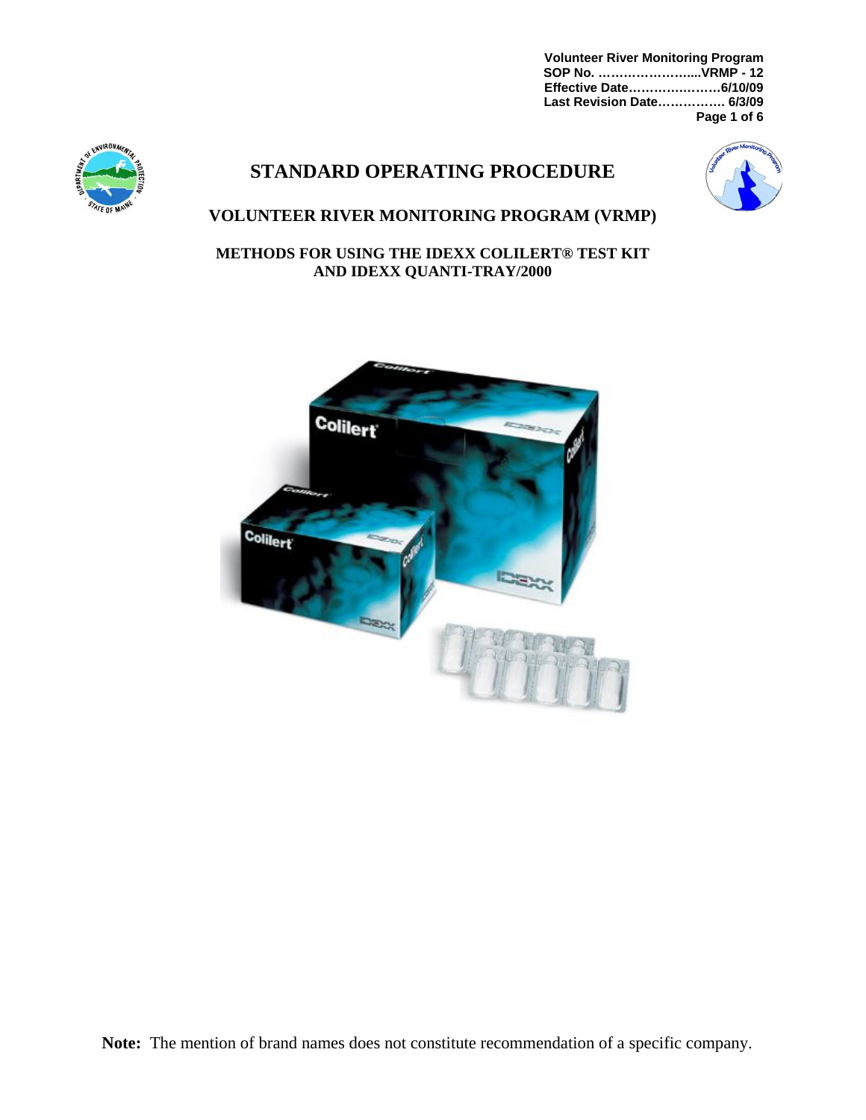**Volunteer River Monitoring Program SOP No. …………………....VRMP - 12 Effective Date………….………6/10/09 Last Revision Date……………. 6/3/09 Page 1 of 6**



# **STANDARD OPERATING PROCEDURE**



# **VOLUNTEER RIVER MONITORING PROGRAM (VRMP)**

**METHODS FOR USING THE IDEXX COLILERT® TEST KIT AND IDEXX QUANTI-TRAY/2000** 

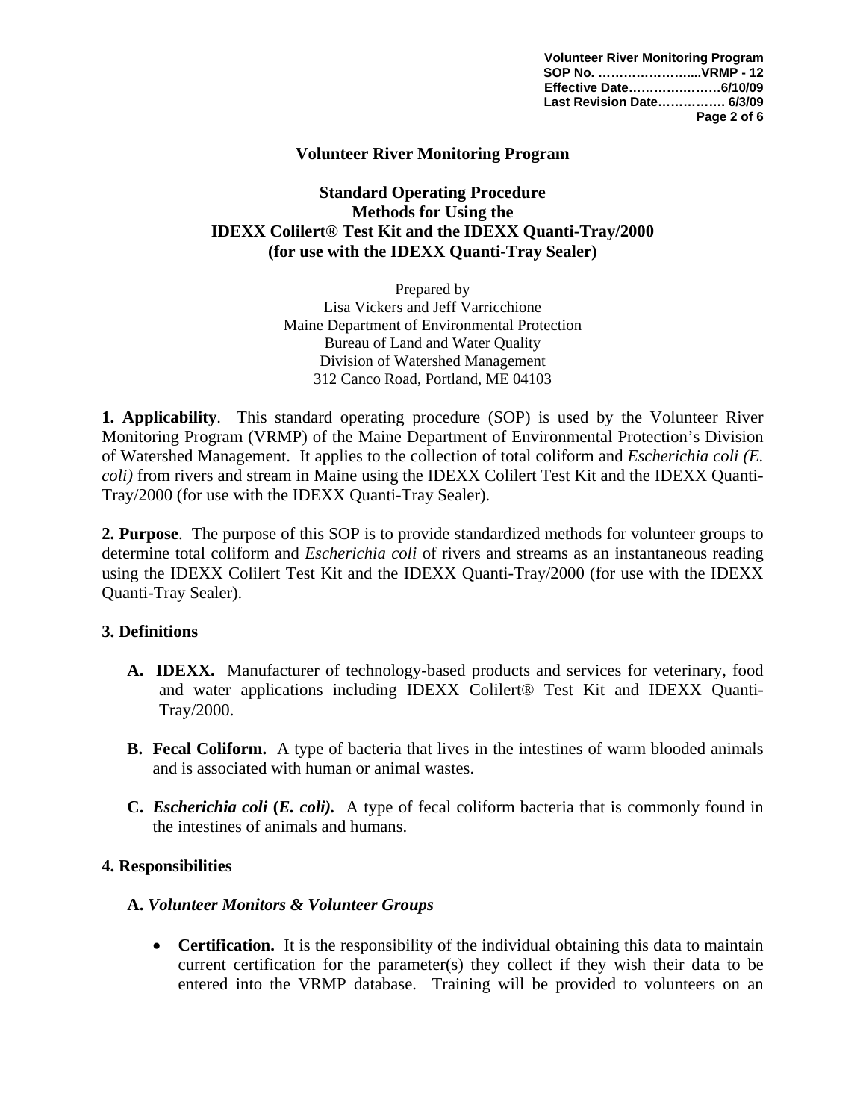**Volunteer River Monitoring Program SOP No. …………………....VRMP - 12 Effective Date………….………6/10/09 Last Revision Date……………. 6/3/09 Page 2 of 6**

#### **Volunteer River Monitoring Program**

### **Standard Operating Procedure Methods for Using the IDEXX Colilert® Test Kit and the IDEXX Quanti-Tray/2000 (for use with the IDEXX Quanti-Tray Sealer)**

Prepared by Lisa Vickers and Jeff Varricchione Maine Department of Environmental Protection Bureau of Land and Water Quality Division of Watershed Management 312 Canco Road, Portland, ME 04103

**1. Applicability**. This standard operating procedure (SOP) is used by the Volunteer River Monitoring Program (VRMP) of the Maine Department of Environmental Protection's Division of Watershed Management. It applies to the collection of total coliform and *Escherichia coli (E. coli)* from rivers and stream in Maine using the IDEXX Colilert Test Kit and the IDEXX Quanti-Tray/2000 (for use with the IDEXX Quanti-Tray Sealer).

**2. Purpose**. The purpose of this SOP is to provide standardized methods for volunteer groups to determine total coliform and *Escherichia coli* of rivers and streams as an instantaneous reading using the IDEXX Colilert Test Kit and the IDEXX Quanti-Tray/2000 (for use with the IDEXX Quanti-Tray Sealer).

#### **3. Definitions**

- **A. IDEXX.** Manufacturer of technology-based products and services for veterinary, food and water applications including IDEXX Colilert® Test Kit and IDEXX Quanti-Tray/2000.
- **B. Fecal Coliform.** A type of bacteria that lives in the intestines of warm blooded animals and is associated with human or animal wastes.
- **C.** *Escherichia coli* **(***E. coli).* A type of fecal coliform bacteria that is commonly found in the intestines of animals and humans.

#### **4. Responsibilities**

#### **A.** *Volunteer Monitors & Volunteer Groups*

• **Certification.** It is the responsibility of the individual obtaining this data to maintain current certification for the parameter(s) they collect if they wish their data to be entered into the VRMP database. Training will be provided to volunteers on an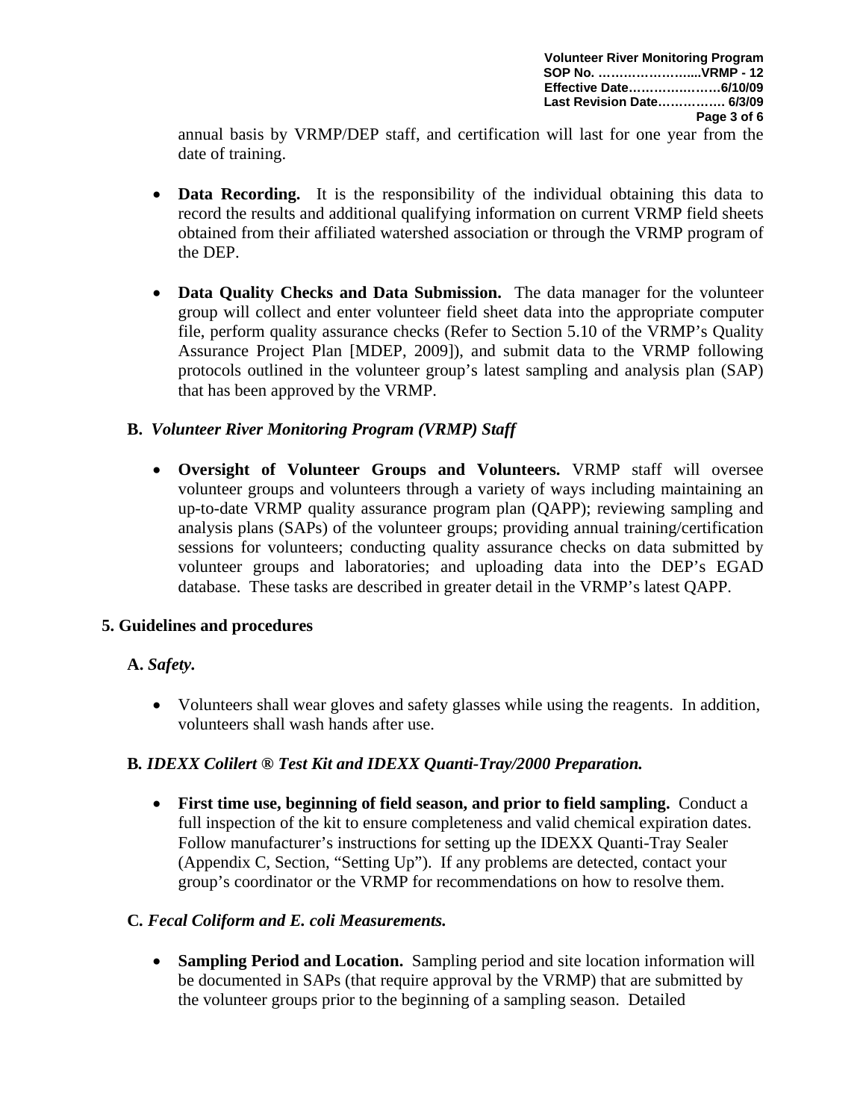**Volunteer River Monitoring Program SOP No. …………………....VRMP - 12 Effective Date………….………6/10/09 Last Revision Date……………. 6/3/09 Page 3 of 6**

annual basis by VRMP/DEP staff, and certification will last for one year from the date of training.

- **Data Recording.** It is the responsibility of the individual obtaining this data to record the results and additional qualifying information on current VRMP field sheets obtained from their affiliated watershed association or through the VRMP program of the DEP.
- **Data Quality Checks and Data Submission.** The data manager for the volunteer group will collect and enter volunteer field sheet data into the appropriate computer file, perform quality assurance checks (Refer to Section 5.10 of the VRMP's Quality Assurance Project Plan [MDEP, 2009]), and submit data to the VRMP following protocols outlined in the volunteer group's latest sampling and analysis plan (SAP) that has been approved by the VRMP.

# **B.** *Volunteer River Monitoring Program (VRMP) Staff*

• **Oversight of Volunteer Groups and Volunteers.** VRMP staff will oversee volunteer groups and volunteers through a variety of ways including maintaining an up-to-date VRMP quality assurance program plan (QAPP); reviewing sampling and analysis plans (SAPs) of the volunteer groups; providing annual training/certification sessions for volunteers; conducting quality assurance checks on data submitted by volunteer groups and laboratories; and uploading data into the DEP's EGAD database. These tasks are described in greater detail in the VRMP's latest QAPP.

# **5. Guidelines and procedures**

# **A.** *Safety.*

• Volunteers shall wear gloves and safety glasses while using the reagents. In addition, volunteers shall wash hands after use.

# **B***. IDEXX Colilert ® Test Kit and IDEXX Quanti-Tray/2000 Preparation.*

• **First time use, beginning of field season, and prior to field sampling.** Conduct a full inspection of the kit to ensure completeness and valid chemical expiration dates. Follow manufacturer's instructions for setting up the IDEXX Quanti-Tray Sealer (Appendix C, Section, "Setting Up"). If any problems are detected, contact your group's coordinator or the VRMP for recommendations on how to resolve them.

# **C***. Fecal Coliform and E. coli Measurements.*

• **Sampling Period and Location.** Sampling period and site location information will be documented in SAPs (that require approval by the VRMP) that are submitted by the volunteer groups prior to the beginning of a sampling season. Detailed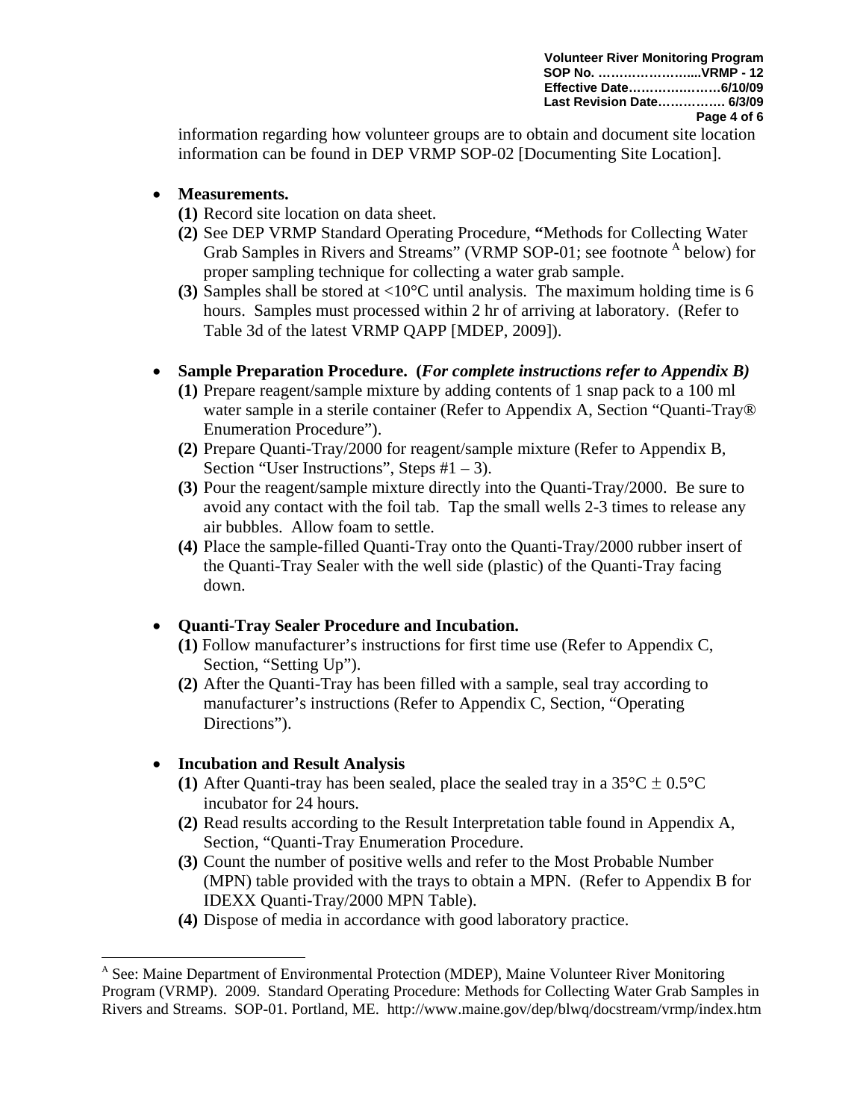**Volunteer River Monitoring Program SOP No. …………………....VRMP - 12 Effective Date………….………6/10/09 Last Revision Date……………. 6/3/09 Page 4 of 6**

information regarding how volunteer groups are to obtain and document site location information can be found in DEP VRMP SOP-02 [Documenting Site Location].

### • **Measurements.**

- **(1)** Record site location on data sheet.
- **(2)** See DEP VRMP Standard Operating Procedure, **"**Methods for Collecting Water Grab Samples in Rivers and Streams" (VRMP SOP-01; see footnote <sup>A</sup> below) for proper sampling technique for collecting a water grab sample.
- **(3)** Samples shall be stored at <10°C until analysis. The maximum holding time is 6 hours. Samples must processed within 2 hr of arriving at laboratory. (Refer to Table 3d of the latest VRMP QAPP [MDEP, 2009]).

### • **Sample Preparation Procedure. (***For complete instructions refer to Appendix B)*

- **(1)** Prepare reagent/sample mixture by adding contents of 1 snap pack to a 100 ml water sample in a sterile container (Refer to Appendix A, Section "Quanti-Tray® Enumeration Procedure").
- **(2)** Prepare Quanti-Tray/2000 for reagent/sample mixture (Refer to Appendix B, Section "User Instructions", Steps  $#1 - 3$ ).
- **(3)** Pour the reagent/sample mixture directly into the Quanti-Tray/2000. Be sure to avoid any contact with the foil tab. Tap the small wells 2-3 times to release any air bubbles. Allow foam to settle.
- **(4)** Place the sample-filled Quanti-Tray onto the Quanti-Tray/2000 rubber insert of the Quanti-Tray Sealer with the well side (plastic) of the Quanti-Tray facing down.

# • **Quanti-Tray Sealer Procedure and Incubation.**

- **(1)** Follow manufacturer's instructions for first time use (Refer to Appendix C, Section, "Setting Up").
- **(2)** After the Quanti-Tray has been filled with a sample, seal tray according to manufacturer's instructions (Refer to Appendix C, Section, "Operating Directions").

# • **Incubation and Result Analysis**

 $\overline{a}$ 

- **(1)** After Quanti-tray has been sealed, place the sealed tray in a  $35^{\circ}C \pm 0.5^{\circ}C$ incubator for 24 hours.
- **(2)** Read results according to the Result Interpretation table found in Appendix A, Section, "Quanti-Tray Enumeration Procedure.
- **(3)** Count the number of positive wells and refer to the Most Probable Number (MPN) table provided with the trays to obtain a MPN. (Refer to Appendix B for IDEXX Quanti-Tray/2000 MPN Table).
- **(4)** Dispose of media in accordance with good laboratory practice.

<sup>&</sup>lt;sup>A</sup> See: Maine Department of Environmental Protection (MDEP), Maine Volunteer River Monitoring Program (VRMP). 2009. Standard Operating Procedure: Methods for Collecting Water Grab Samples in Rivers and Streams. SOP-01. Portland, ME. http://www.maine.gov/dep/blwq/docstream/vrmp/index.htm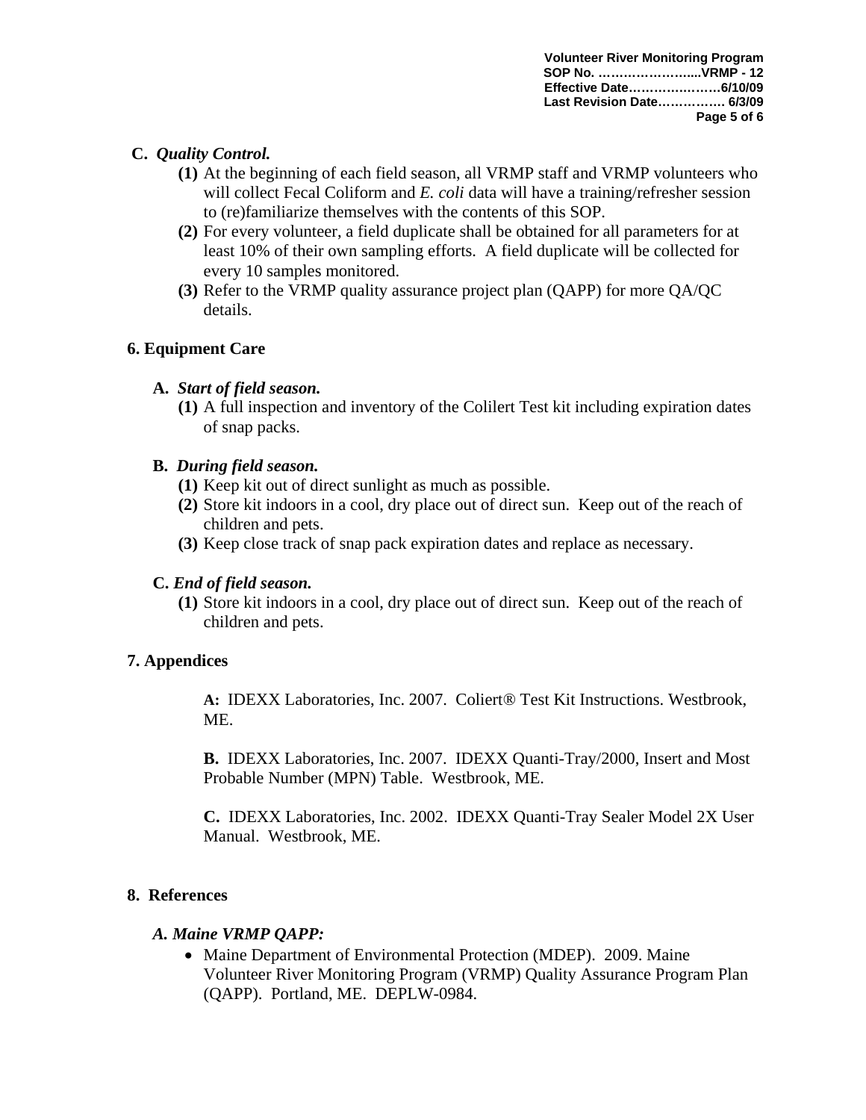# **C.** *Quality Control.*

- **(1)** At the beginning of each field season, all VRMP staff and VRMP volunteers who will collect Fecal Coliform and *E. coli* data will have a training/refresher session to (re)familiarize themselves with the contents of this SOP.
- **(2)** For every volunteer, a field duplicate shall be obtained for all parameters for at least 10% of their own sampling efforts. A field duplicate will be collected for every 10 samples monitored.
- **(3)** Refer to the VRMP quality assurance project plan (QAPP) for more QA/QC details.

# **6. Equipment Care**

# **A.** *Start of field season.*

**(1)** A full inspection and inventory of the Colilert Test kit including expiration dates of snap packs.

# **B.** *During field season.*

- **(1)** Keep kit out of direct sunlight as much as possible.
- **(2)** Store kit indoors in a cool, dry place out of direct sun. Keep out of the reach of children and pets.
- **(3)** Keep close track of snap pack expiration dates and replace as necessary.

# **C.** *End of field season.*

**(1)** Store kit indoors in a cool, dry place out of direct sun. Keep out of the reach of children and pets.

# **7. Appendices**

**A:** IDEXX Laboratories, Inc. 2007. Coliert® Test Kit Instructions. Westbrook, ME.

 **B.** IDEXX Laboratories, Inc. 2007. IDEXX Quanti-Tray/2000, Insert and Most Probable Number (MPN) Table. Westbrook, ME.

**C.** IDEXX Laboratories, Inc. 2002. IDEXX Quanti-Tray Sealer Model 2X User Manual. Westbrook, ME.

# **8. References**

# *A. Maine VRMP QAPP:*

• Maine Department of Environmental Protection (MDEP). 2009. Maine Volunteer River Monitoring Program (VRMP) Quality Assurance Program Plan (QAPP). Portland, ME. DEPLW-0984.